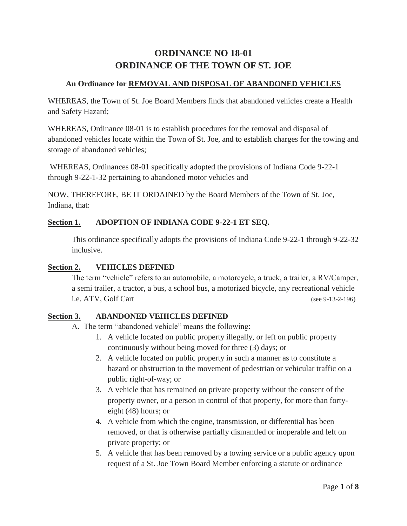# **ORDINANCE NO 18-01 ORDINANCE OF THE TOWN OF ST. JOE**

## **An Ordinance for REMOVAL AND DISPOSAL OF ABANDONED VEHICLES**

WHEREAS, the Town of St. Joe Board Members finds that abandoned vehicles create a Health and Safety Hazard;

WHEREAS, Ordinance 08-01 is to establish procedures for the removal and disposal of abandoned vehicles locate within the Town of St. Joe, and to establish charges for the towing and storage of abandoned vehicles;

WHEREAS, Ordinances 08-01 specifically adopted the provisions of Indiana Code 9-22-1 through 9-22-1-32 pertaining to abandoned motor vehicles and

NOW, THEREFORE, BE IT ORDAINED by the Board Members of the Town of St. Joe, Indiana, that:

## **Section 1. ADOPTION OF INDIANA CODE 9-22-1 ET SEQ.**

This ordinance specifically adopts the provisions of Indiana Code 9-22-1 through 9-22-32 inclusive.

## **Section 2. VEHICLES DEFINED**

The term "vehicle" refers to an automobile, a motorcycle, a truck, a trailer, a RV/Camper, a semi trailer, a tractor, a bus, a school bus, a motorized bicycle, any recreational vehicle i.e. ATV, Golf Cart (see 9-13-2-196)

## **Section 3. ABANDONED VEHICLES DEFINED**

- A. The term "abandoned vehicle" means the following:
	- 1. A vehicle located on public property illegally, or left on public property continuously without being moved for three (3) days; or
	- 2. A vehicle located on public property in such a manner as to constitute a hazard or obstruction to the movement of pedestrian or vehicular traffic on a public right-of-way; or
	- 3. A vehicle that has remained on private property without the consent of the property owner, or a person in control of that property, for more than fortyeight (48) hours; or
	- 4. A vehicle from which the engine, transmission, or differential has been removed, or that is otherwise partially dismantled or inoperable and left on private property; or
	- 5. A vehicle that has been removed by a towing service or a public agency upon request of a St. Joe Town Board Member enforcing a statute or ordinance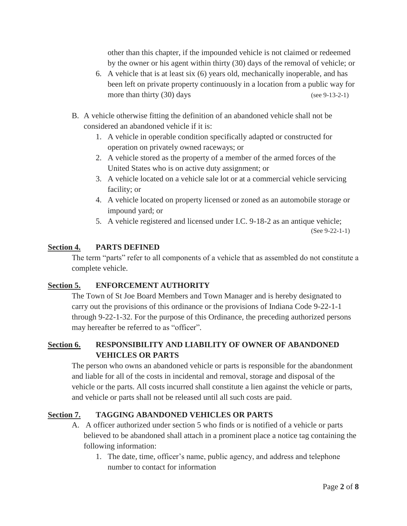other than this chapter, if the impounded vehicle is not claimed or redeemed by the owner or his agent within thirty (30) days of the removal of vehicle; or

- 6. A vehicle that is at least six (6) years old, mechanically inoperable, and has been left on private property continuously in a location from a public way for more than thirty (30) days (see 9-13-2-1)
- B. A vehicle otherwise fitting the definition of an abandoned vehicle shall not be considered an abandoned vehicle if it is:
	- 1. A vehicle in operable condition specifically adapted or constructed for operation on privately owned raceways; or
	- 2. A vehicle stored as the property of a member of the armed forces of the United States who is on active duty assignment; or
	- 3. A vehicle located on a vehicle sale lot or at a commercial vehicle servicing facility; or
	- 4. A vehicle located on property licensed or zoned as an automobile storage or impound yard; or
	- 5. A vehicle registered and licensed under I.C. 9-18-2 as an antique vehicle;

(See 9-22-1-1)

## **Section 4. PARTS DEFINED**

The term "parts" refer to all components of a vehicle that as assembled do not constitute a complete vehicle.

## **Section 5. ENFORCEMENT AUTHORITY**

The Town of St Joe Board Members and Town Manager and is hereby designated to carry out the provisions of this ordinance or the provisions of Indiana Code 9-22-1-1 through 9-22-1-32. For the purpose of this Ordinance, the preceding authorized persons may hereafter be referred to as "officer".

## **Section 6. RESPONSIBILITY AND LIABILITY OF OWNER OF ABANDONED VEHICLES OR PARTS**

The person who owns an abandoned vehicle or parts is responsible for the abandonment and liable for all of the costs in incidental and removal, storage and disposal of the vehicle or the parts. All costs incurred shall constitute a lien against the vehicle or parts, and vehicle or parts shall not be released until all such costs are paid.

## **Section 7. TAGGING ABANDONED VEHICLES OR PARTS**

- A. A officer authorized under section 5 who finds or is notified of a vehicle or parts believed to be abandoned shall attach in a prominent place a notice tag containing the following information:
	- 1. The date, time, officer's name, public agency, and address and telephone number to contact for information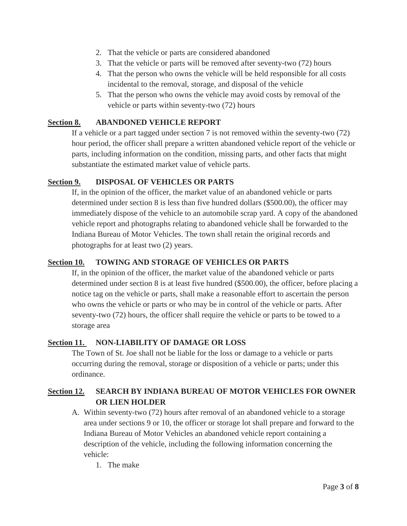- 2. That the vehicle or parts are considered abandoned
- 3. That the vehicle or parts will be removed after seventy-two (72) hours
- 4. That the person who owns the vehicle will be held responsible for all costs incidental to the removal, storage, and disposal of the vehicle
- 5. That the person who owns the vehicle may avoid costs by removal of the vehicle or parts within seventy-two (72) hours

## **Section 8. ABANDONED VEHICLE REPORT**

If a vehicle or a part tagged under section 7 is not removed within the seventy-two (72) hour period, the officer shall prepare a written abandoned vehicle report of the vehicle or parts, including information on the condition, missing parts, and other facts that might substantiate the estimated market value of vehicle parts.

## **Section 9. DISPOSAL OF VEHICLES OR PARTS**

If, in the opinion of the officer, the market value of an abandoned vehicle or parts determined under section 8 is less than five hundred dollars (\$500.00), the officer may immediately dispose of the vehicle to an automobile scrap yard. A copy of the abandoned vehicle report and photographs relating to abandoned vehicle shall be forwarded to the Indiana Bureau of Motor Vehicles. The town shall retain the original records and photographs for at least two (2) years.

## **Section 10. TOWING AND STORAGE OF VEHICLES OR PARTS**

If, in the opinion of the officer, the market value of the abandoned vehicle or parts determined under section 8 is at least five hundred (\$500.00), the officer, before placing a notice tag on the vehicle or parts, shall make a reasonable effort to ascertain the person who owns the vehicle or parts or who may be in control of the vehicle or parts. After seventy-two (72) hours, the officer shall require the vehicle or parts to be towed to a storage area

#### **Section 11. NON-LIABILITY OF DAMAGE OR LOSS**

The Town of St. Joe shall not be liable for the loss or damage to a vehicle or parts occurring during the removal, storage or disposition of a vehicle or parts; under this ordinance.

## **Section 12. SEARCH BY INDIANA BUREAU OF MOTOR VEHICLES FOR OWNER OR LIEN HOLDER**

- A. Within seventy-two (72) hours after removal of an abandoned vehicle to a storage area under sections 9 or 10, the officer or storage lot shall prepare and forward to the Indiana Bureau of Motor Vehicles an abandoned vehicle report containing a description of the vehicle, including the following information concerning the vehicle:
	- 1. The make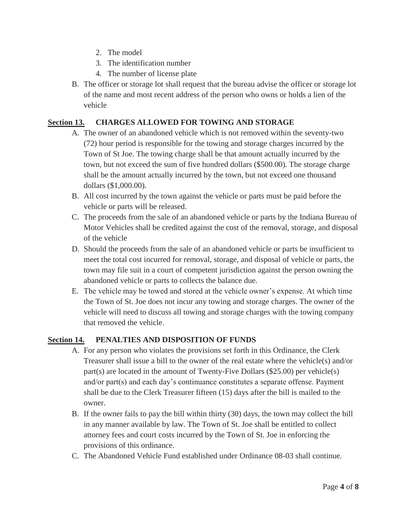- 2. The model
- 3. The identification number
- 4. The number of license plate
- B. The officer or storage lot shall request that the bureau advise the officer or storage lot of the name and most recent address of the person who owns or holds a lien of the vehicle

## **Section 13. CHARGES ALLOWED FOR TOWING AND STORAGE**

- A. The owner of an abandoned vehicle which is not removed within the seventy-two (72) hour period is responsible for the towing and storage charges incurred by the Town of St Joe. The towing charge shall be that amount actually incurred by the town, but not exceed the sum of five hundred dollars (\$500.00). The storage charge shall be the amount actually incurred by the town, but not exceed one thousand dollars (\$1,000.00).
- B. All cost incurred by the town against the vehicle or parts must be paid before the vehicle or parts will be released.
- C. The proceeds from the sale of an abandoned vehicle or parts by the Indiana Bureau of Motor Vehicles shall be credited against the cost of the removal, storage, and disposal of the vehicle
- D. Should the proceeds from the sale of an abandoned vehicle or parts be insufficient to meet the total cost incurred for removal, storage, and disposal of vehicle or parts, the town may file suit in a court of competent jurisdiction against the person owning the abandoned vehicle or parts to collects the balance due.
- E. The vehicle may be towed and stored at the vehicle owner's expense. At which time the Town of St. Joe does not incur any towing and storage charges. The owner of the vehicle will need to discuss all towing and storage charges with the towing company that removed the vehicle.

## **Section 14. PENALTIES AND DISPOSITION OF FUNDS**

- A. For any person who violates the provisions set forth in this Ordinance, the Clerk Treasurer shall issue a bill to the owner of the real estate where the vehicle(s) and/or part(s) are located in the amount of Twenty-Five Dollars (\$25.00) per vehicle(s) and/or part(s) and each day's continuance constitutes a separate offense. Payment shall be due to the Clerk Treasurer fifteen (15) days after the bill is mailed to the owner.
- B. If the owner fails to pay the bill within thirty (30) days, the town may collect the bill in any manner available by law. The Town of St. Joe shall be entitled to collect attorney fees and court costs incurred by the Town of St. Joe in enforcing the provisions of this ordinance.
- C. The Abandoned Vehicle Fund established under Ordinance 08-03 shall continue.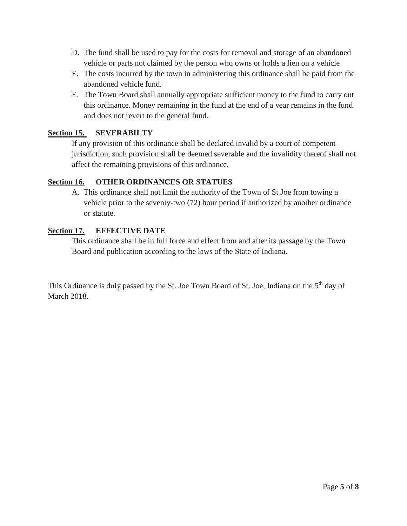- D. The fund shall be used to pay for the costs for removal and storage of an abandoned vehicle or parts not claimed by the person who owns or holds a lien on a vehicle
- E. The costs incurred by the town in administering this ordinance shall be paid from the abandoned vehicle fund.
- F. The Town Board shall annually appropriate sufficient money to the fund to carry out this ordinance. Money remaining in the fund at the end of a year remains in the fund and does not revert to the general fund.

## **Section 15. SEVERABILTY**

If any provision of this ordinance shall be declared invalid by a court of competent jurisdiction, such provision shall be deemed severable and the invalidity thereof shall not affect the remaining provisions of this ordinance.

## **Section 16. OTHER ORDINANCES OR STATUES**

A. This ordinance shall not limit the authority of the Town of St Joe from towing a vehicle prior to the seventy-two (72) hour period if authorized by another ordinance or statute.

## **Section 17. EFFECTIVE DATE**

This ordinance shall be in full force and effect from and after its passage by the Town Board and publication according to the laws of the State of Indiana.

This Ordinance is duly passed by the St. Joe Town Board of St. Joe, Indiana on the 5<sup>th</sup> day of March 2018.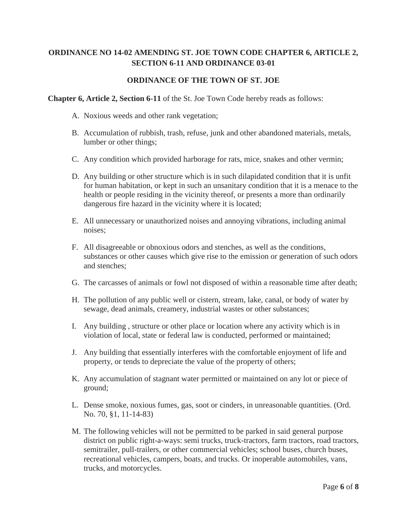## **ORDINANCE NO 14-02 AMENDING ST. JOE TOWN CODE CHAPTER 6, ARTICLE 2, SECTION 6-11 AND ORDINANCE 03-01**

### **ORDINANCE OF THE TOWN OF ST. JOE**

#### **Chapter 6, Article 2, Section 6-11** of the St. Joe Town Code hereby reads as follows:

- A. Noxious weeds and other rank vegetation;
- B. Accumulation of rubbish, trash, refuse, junk and other abandoned materials, metals, lumber or other things;
- C. Any condition which provided harborage for rats, mice, snakes and other vermin;
- D. Any building or other structure which is in such dilapidated condition that it is unfit for human habitation, or kept in such an unsanitary condition that it is a menace to the health or people residing in the vicinity thereof, or presents a more than ordinarily dangerous fire hazard in the vicinity where it is located;
- E. All unnecessary or unauthorized noises and annoying vibrations, including animal noises;
- F. All disagreeable or obnoxious odors and stenches, as well as the conditions, substances or other causes which give rise to the emission or generation of such odors and stenches;
- G. The carcasses of animals or fowl not disposed of within a reasonable time after death;
- H. The pollution of any public well or cistern, stream, lake, canal, or body of water by sewage, dead animals, creamery, industrial wastes or other substances;
- I. Any building , structure or other place or location where any activity which is in violation of local, state or federal law is conducted, performed or maintained;
- J. Any building that essentially interferes with the comfortable enjoyment of life and property, or tends to depreciate the value of the property of others;
- K. Any accumulation of stagnant water permitted or maintained on any lot or piece of ground;
- L. Dense smoke, noxious fumes, gas, soot or cinders, in unreasonable quantities. (Ord. No. 70, §1, 11-14-83)
- M. The following vehicles will not be permitted to be parked in said general purpose district on public right-a-ways: semi trucks, truck-tractors, farm tractors, road tractors, semitrailer, pull-trailers, or other commercial vehicles; school buses, church buses, recreational vehicles, campers, boats, and trucks. Or inoperable automobiles, vans, trucks, and motorcycles.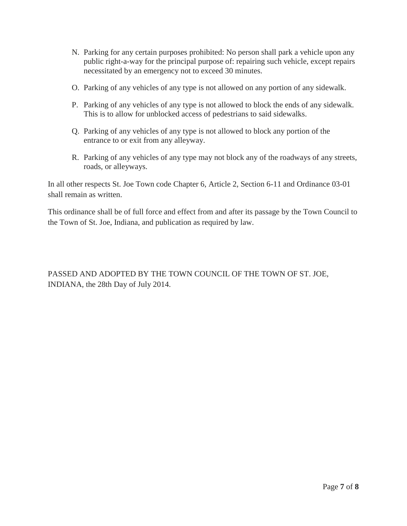- N. Parking for any certain purposes prohibited: No person shall park a vehicle upon any public right-a-way for the principal purpose of: repairing such vehicle, except repairs necessitated by an emergency not to exceed 30 minutes.
- O. Parking of any vehicles of any type is not allowed on any portion of any sidewalk.
- P. Parking of any vehicles of any type is not allowed to block the ends of any sidewalk. This is to allow for unblocked access of pedestrians to said sidewalks.
- Q. Parking of any vehicles of any type is not allowed to block any portion of the entrance to or exit from any alleyway.
- R. Parking of any vehicles of any type may not block any of the roadways of any streets, roads, or alleyways.

In all other respects St. Joe Town code Chapter 6, Article 2, Section 6-11 and Ordinance 03-01 shall remain as written.

This ordinance shall be of full force and effect from and after its passage by the Town Council to the Town of St. Joe, Indiana, and publication as required by law.

PASSED AND ADOPTED BY THE TOWN COUNCIL OF THE TOWN OF ST. JOE, INDIANA, the 28th Day of July 2014.